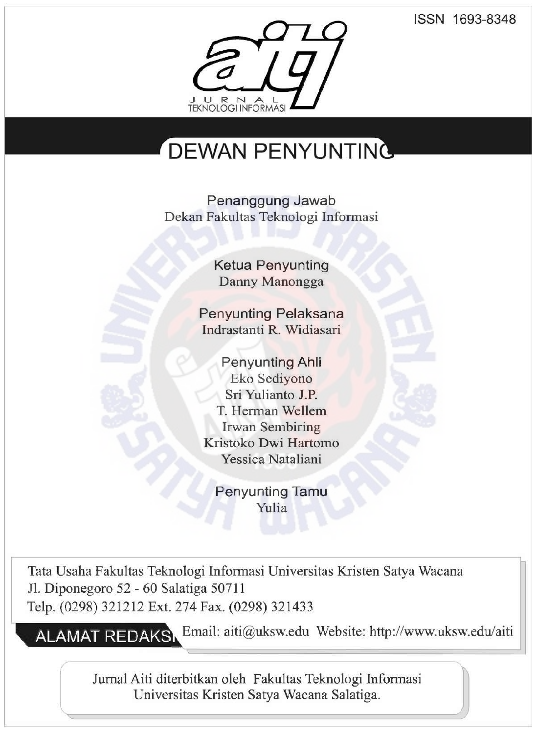ISSN 1693-8348



## DEWAN PENYUNTING

Penanggung Jawab Dekan Faku1tas Teknologi Informasi

> Ketua Penyunting Danny Manongga

Penyunting Pelaksana Indrastanti R. Widiasari

**Penyunting Ahli** Eko Sediyono Sri Yu1ianto J.P. T. Herman Wellem Irwan Sembiring Kristoko Dwi Hartomo Yessica Nataliani

Penyunting Tamu Yulia

Tata Usaha Fakultas Teknologi Informasi Universitas Kristen Satya Wacana Jl. Diponegoro 52 - 60 Salatiga 50711 Telp. (0298) 321212 Ext. 274 Fax. (0298) 321433

**ALAMAT REDAKS** Email: aiti@uksw.edu Website: http://www.uksw.edu/aiti

Jumal Aiti diterbitkan oleh Fakultas Teknologi Informasi Universitas Kristen Satya Wacana Salatiga.